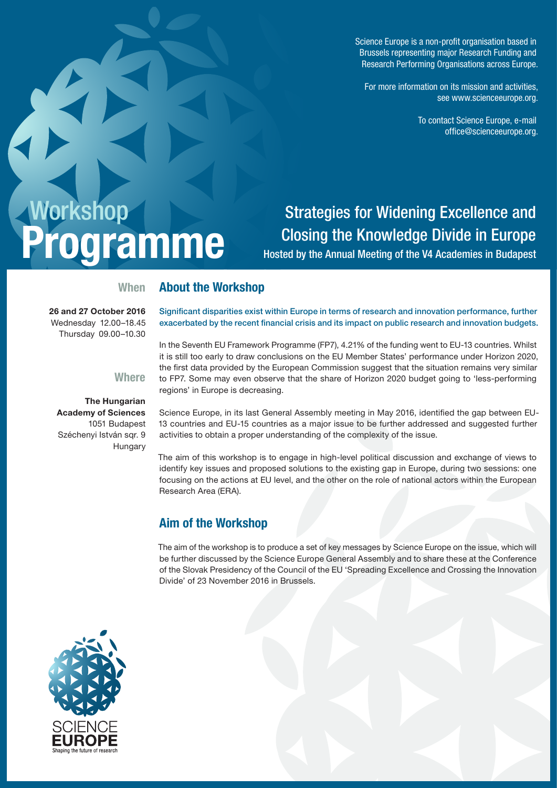Science Europe is a non-profit organisation based in Brussels representing major Research Funding and Research Performing Organisations across Europe.

For more information on its mission and activities, see www.scienceeurope.org.

> To contact Science Europe, e-mail office@scienceeurope.org.

# Programme Workshop

Strategies for Widening Excellence and Closing the Knowledge Divide in Europe

Hosted by the Annual Meeting of the V4 Academies in Budapest

#### When About the Workshop

26 and 27 October 2016 Wednesday 12.00–18.45 Thursday 09.00–10.30 Significant disparities exist within Europe in terms of research and innovation performance, further exacerbated by the recent financial crisis and its impact on public research and innovation budgets.

#### **Where**

The Hungarian Academy of Sciences 1051 Budapest Széchenyi István sqr. 9 **Hungary** 

In the Seventh EU Framework Programme (FP7), 4.21% of the funding went to EU-13 countries. Whilst it is still too early to draw conclusions on the EU Member States' performance under Horizon 2020, the first data provided by the European Commission suggest that the situation remains very similar to FP7. Some may even observe that the share of Horizon 2020 budget going to 'less-performing regions' in Europe is decreasing.

Science Europe, in its last General Assembly meeting in May 2016, identified the gap between EU-13 countries and EU-15 countries as a major issue to be further addressed and suggested further activities to obtain a proper understanding of the complexity of the issue.

The aim of this workshop is to engage in high-level political discussion and exchange of views to identify key issues and proposed solutions to the existing gap in Europe, during two sessions: one focusing on the actions at EU level, and the other on the role of national actors within the European Research Area (ERA).

#### Aim of the Workshop

The aim of the workshop is to produce a set of key messages by Science Europe on the issue, which will be further discussed by the Science Europe General Assembly and to share these at the Conference of the Slovak Presidency of the Council of the EU 'Spreading Excellence and Crossing the Innovation Divide' of 23 November 2016 in Brussels.



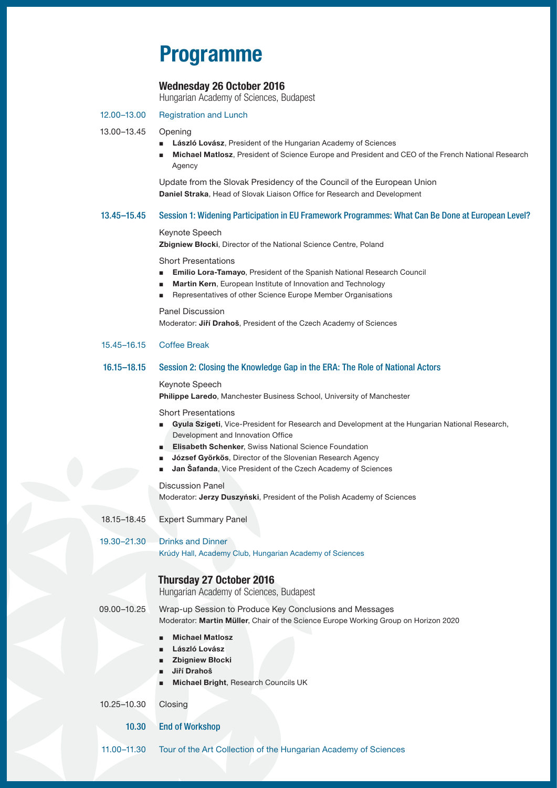### Programme

#### Wednesday 26 October 2016

Hungarian Academy of Sciences, Budapest

#### 12.00–13.00 Registration and Lunch

13.00–13.45 Opening

- László Lovász, President of the Hungarian Academy of Sciences
- Michael Matlosz, President of Science Europe and President and CEO of the French National Research Agency

Update from the Slovak Presidency of the Council of the European Union Daniel Straka, Head of Slovak Liaison Office for Research and Development

#### 13.45–15.45 Session 1: Widening Participation in EU Framework Programmes: What Can Be Done at European Level?

#### Keynote Speech

Zbigniew Błocki, Director of the National Science Centre, Poland

Short Presentations

- Emilio Lora-Tamayo, President of the Spanish National Research Council
- Martin Kern, European Institute of Innovation and Technology
- Representatives of other Science Europe Member Organisations

Panel Discussion Moderator: Ji**ř**í Drahoš, President of the Czech Academy of Sciences

#### 15.45–16.15 Coffee Break

#### 16.15–18.15 Session 2: Closing the Knowledge Gap in the ERA: The Role of National Actors

Keynote Speech

Philippe Laredo, Manchester Business School, University of Manchester

Short Presentations

- Gyula Szigeti, Vice-President for Research and Development at the Hungarian National Research, Development and Innovation Office
- **Elisabeth Schenker, Swiss National Science Foundation**
- József Gvörkös, Director of the Slovenian Research Agency
- Jan Šafanda, Vice President of the Czech Academy of Sciences

#### Discussion Panel

Moderator: Jerzy Duszy**ń**ski, President of the Polish Academy of Sciences

18.15–18.45 Expert Summary Panel

#### 19.30–21.30 Drinks and Dinner Krúdy Hall, Academy Club, Hungarian Academy of Sciences

#### Thursday 27 October 2016

Hungarian Academy of Sciences, Budapest

09.00–10.25 Wrap-up Session to Produce Key Conclusions and Messages

Moderator: Martin Müller, Chair of the Science Europe Working Group on Horizon 2020

- Michael Matlosz
- László Lovász
- Zbigniew Błocki
- Ji**ř**í Drahoš
- Michael Bright, Research Councils UK

#### 10.25–10.30 Closing

10.30 End of Workshop

11.00–11.30 Tour of the Art Collection of the Hungarian Academy of Sciences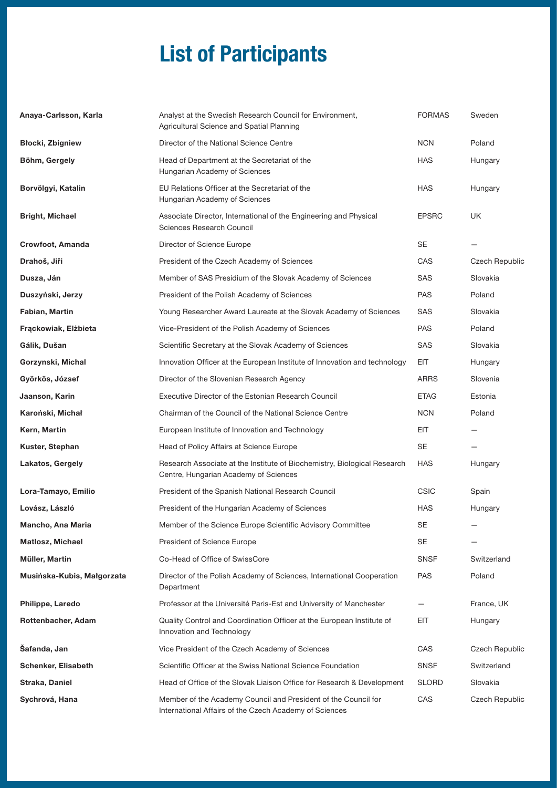## List of Participants

| Anaya-Carlsson, Karla      | Analyst at the Swedish Research Council for Environment,<br>Agricultural Science and Spatial Planning                    | <b>FORMAS</b> | Sweden                |
|----------------------------|--------------------------------------------------------------------------------------------------------------------------|---------------|-----------------------|
| <b>Błocki, Zbigniew</b>    | Director of the National Science Centre                                                                                  | <b>NCN</b>    | Poland                |
| Böhm, Gergely              | Head of Department at the Secretariat of the<br>Hungarian Academy of Sciences                                            | <b>HAS</b>    | Hungary               |
| Borvölgyi, Katalin         | EU Relations Officer at the Secretariat of the<br>Hungarian Academy of Sciences                                          | <b>HAS</b>    | Hungary               |
| <b>Bright, Michael</b>     | Associate Director, International of the Engineering and Physical<br>Sciences Research Council                           | <b>EPSRC</b>  | UK                    |
| Crowfoot, Amanda           | Director of Science Europe                                                                                               | <b>SE</b>     |                       |
| Drahoš, Jiři               | President of the Czech Academy of Sciences                                                                               | CAS           | <b>Czech Republic</b> |
| Dusza, Ján                 | Member of SAS Presidium of the Slovak Academy of Sciences                                                                | SAS           | Slovakia              |
| Duszyński, Jerzy           | President of the Polish Academy of Sciences                                                                              | <b>PAS</b>    | Poland                |
| Fabian, Martin             | Young Researcher Award Laureate at the Slovak Academy of Sciences                                                        | <b>SAS</b>    | Slovakia              |
| Frąckowiak, Elżbieta       | Vice-President of the Polish Academy of Sciences                                                                         | <b>PAS</b>    | Poland                |
| Gálik, Dušan               | Scientific Secretary at the Slovak Academy of Sciences                                                                   | <b>SAS</b>    | Slovakia              |
| Gorzynski, Michal          | Innovation Officer at the European Institute of Innovation and technology                                                | EIT           | Hungary               |
| Györkös, József            | Director of the Slovenian Research Agency                                                                                | <b>ARRS</b>   | Slovenia              |
| Jaanson, Karin             | Executive Director of the Estonian Research Council                                                                      | <b>ETAG</b>   | Estonia               |
| Karoński, Michał           | Chairman of the Council of the National Science Centre                                                                   | <b>NCN</b>    | Poland                |
| Kern, Martin               | European Institute of Innovation and Technology                                                                          | EIT           |                       |
| Kuster, Stephan            | Head of Policy Affairs at Science Europe                                                                                 | <b>SE</b>     |                       |
| <b>Lakatos, Gergely</b>    | Research Associate at the Institute of Biochemistry, Biological Research<br>Centre, Hungarian Academy of Sciences        | <b>HAS</b>    | Hungary               |
| Lora-Tamayo, Emilio        | President of the Spanish National Research Council                                                                       | <b>CSIC</b>   | Spain                 |
| Lovász, László             | President of the Hungarian Academy of Sciences                                                                           | <b>HAS</b>    | Hungary               |
| Mancho, Ana Maria          | Member of the Science Europe Scientific Advisory Committee                                                               | SE            |                       |
| <b>Matlosz, Michael</b>    | <b>President of Science Europe</b>                                                                                       | SE            |                       |
| Müller, Martin             | Co-Head of Office of SwissCore                                                                                           | <b>SNSF</b>   | Switzerland           |
| Musińska-Kubis, Małgorzata | Director of the Polish Academy of Sciences, International Cooperation<br>Department                                      | <b>PAS</b>    | Poland                |
| Philippe, Laredo           | Professor at the Université Paris-Est and University of Manchester                                                       |               | France, UK            |
| Rottenbacher, Adam         | Quality Control and Coordination Officer at the European Institute of<br>Innovation and Technology                       | EIT           | Hungary               |
| Šafanda, Jan               | Vice President of the Czech Academy of Sciences                                                                          | CAS           | Czech Republic        |
| <b>Schenker, Elisabeth</b> | Scientific Officer at the Swiss National Science Foundation                                                              | <b>SNSF</b>   | Switzerland           |
| Straka, Daniel             | Head of Office of the Slovak Liaison Office for Research & Development                                                   | <b>SLORD</b>  | Slovakia              |
| Sychrová, Hana             | Member of the Academy Council and President of the Council for<br>International Affairs of the Czech Academy of Sciences | CAS           | Czech Republic        |